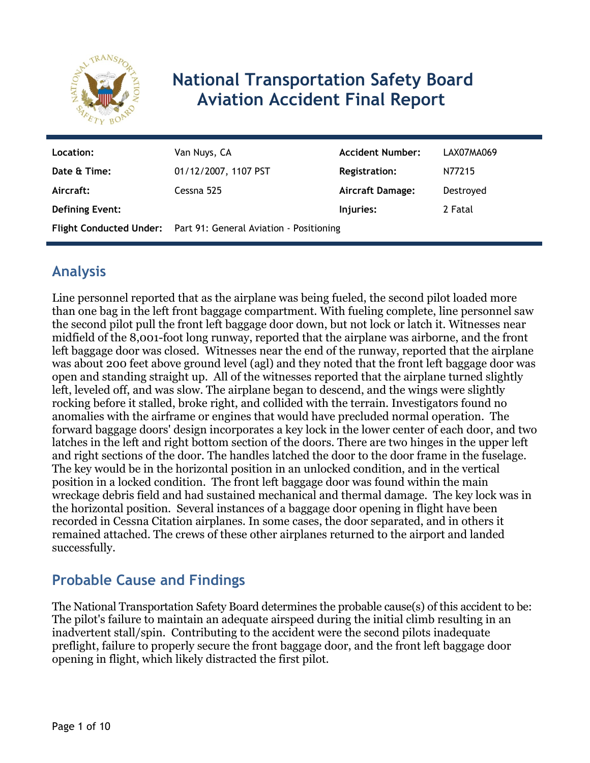

# **National Transportation Safety Board Aviation Accident Final Report**

| Location:              | Van Nuys, CA                                                    | <b>Accident Number:</b> | LAX07MA069 |
|------------------------|-----------------------------------------------------------------|-------------------------|------------|
| Date & Time:           | 01/12/2007, 1107 PST                                            | <b>Registration:</b>    | N77215     |
| Aircraft:              | Cessna 525                                                      | <b>Aircraft Damage:</b> | Destroyed  |
| <b>Defining Event:</b> |                                                                 | Injuries:               | 2 Fatal    |
|                        | Flight Conducted Under: Part 91: General Aviation - Positioning |                         |            |

# **Analysis**

Line personnel reported that as the airplane was being fueled, the second pilot loaded more than one bag in the left front baggage compartment. With fueling complete, line personnel saw the second pilot pull the front left baggage door down, but not lock or latch it. Witnesses near midfield of the 8,001-foot long runway, reported that the airplane was airborne, and the front left baggage door was closed. Witnesses near the end of the runway, reported that the airplane was about 200 feet above ground level (agl) and they noted that the front left baggage door was open and standing straight up. All of the witnesses reported that the airplane turned slightly left, leveled off, and was slow. The airplane began to descend, and the wings were slightly rocking before it stalled, broke right, and collided with the terrain. Investigators found no anomalies with the airframe or engines that would have precluded normal operation. The forward baggage doors' design incorporates a key lock in the lower center of each door, and two latches in the left and right bottom section of the doors. There are two hinges in the upper left and right sections of the door. The handles latched the door to the door frame in the fuselage. The key would be in the horizontal position in an unlocked condition, and in the vertical position in a locked condition. The front left baggage door was found within the main wreckage debris field and had sustained mechanical and thermal damage. The key lock was in the horizontal position. Several instances of a baggage door opening in flight have been recorded in Cessna Citation airplanes. In some cases, the door separated, and in others it remained attached. The crews of these other airplanes returned to the airport and landed successfully.

## **Probable Cause and Findings**

The National Transportation Safety Board determines the probable cause(s) of this accident to be: The pilot's failure to maintain an adequate airspeed during the initial climb resulting in an inadvertent stall/spin. Contributing to the accident were the second pilots inadequate preflight, failure to properly secure the front baggage door, and the front left baggage door opening in flight, which likely distracted the first pilot.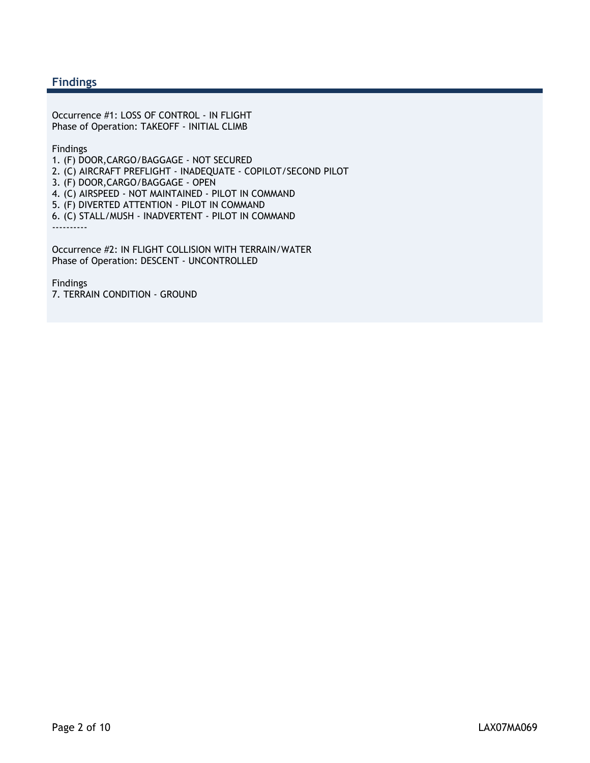#### **Findings**

Occurrence #1: LOSS OF CONTROL - IN FLIGHT Phase of Operation: TAKEOFF - INITIAL CLIMB

Findings

1. (F) DOOR,CARGO/BAGGAGE - NOT SECURED

2. (C) AIRCRAFT PREFLIGHT - INADEQUATE - COPILOT/SECOND PILOT

3. (F) DOOR,CARGO/BAGGAGE - OPEN

4. (C) AIRSPEED - NOT MAINTAINED - PILOT IN COMMAND

5. (F) DIVERTED ATTENTION - PILOT IN COMMAND

6. (C) STALL/MUSH - INADVERTENT - PILOT IN COMMAND ----------

Occurrence #2: IN FLIGHT COLLISION WITH TERRAIN/WATER Phase of Operation: DESCENT - UNCONTROLLED

Findings 7. TERRAIN CONDITION - GROUND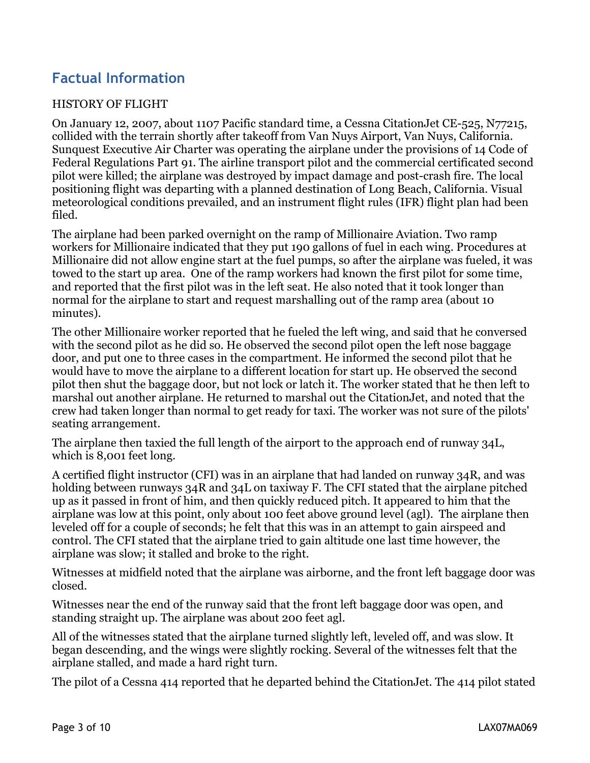# **Factual Information**

#### HISTORY OF FLIGHT

On January 12, 2007, about 1107 Pacific standard time, a Cessna CitationJet CE-525, N77215, collided with the terrain shortly after takeoff from Van Nuys Airport, Van Nuys, California. Sunquest Executive Air Charter was operating the airplane under the provisions of 14 Code of Federal Regulations Part 91. The airline transport pilot and the commercial certificated second pilot were killed; the airplane was destroyed by impact damage and post-crash fire. The local positioning flight was departing with a planned destination of Long Beach, California. Visual meteorological conditions prevailed, and an instrument flight rules (IFR) flight plan had been filed.

The airplane had been parked overnight on the ramp of Millionaire Aviation. Two ramp workers for Millionaire indicated that they put 190 gallons of fuel in each wing. Procedures at Millionaire did not allow engine start at the fuel pumps, so after the airplane was fueled, it was towed to the start up area. One of the ramp workers had known the first pilot for some time, and reported that the first pilot was in the left seat. He also noted that it took longer than normal for the airplane to start and request marshalling out of the ramp area (about 10 minutes).

The other Millionaire worker reported that he fueled the left wing, and said that he conversed with the second pilot as he did so. He observed the second pilot open the left nose baggage door, and put one to three cases in the compartment. He informed the second pilot that he would have to move the airplane to a different location for start up. He observed the second pilot then shut the baggage door, but not lock or latch it. The worker stated that he then left to marshal out another airplane. He returned to marshal out the CitationJet, and noted that the crew had taken longer than normal to get ready for taxi. The worker was not sure of the pilots' seating arrangement.

The airplane then taxied the full length of the airport to the approach end of runway 34L, which is 8,001 feet long.

A certified flight instructor (CFI) was in an airplane that had landed on runway 34R, and was holding between runways 34R and 34L on taxiway F. The CFI stated that the airplane pitched up as it passed in front of him, and then quickly reduced pitch. It appeared to him that the airplane was low at this point, only about 100 feet above ground level (agl). The airplane then leveled off for a couple of seconds; he felt that this was in an attempt to gain airspeed and control. The CFI stated that the airplane tried to gain altitude one last time however, the airplane was slow; it stalled and broke to the right.

Witnesses at midfield noted that the airplane was airborne, and the front left baggage door was closed.

Witnesses near the end of the runway said that the front left baggage door was open, and standing straight up. The airplane was about 200 feet agl.

All of the witnesses stated that the airplane turned slightly left, leveled off, and was slow. It began descending, and the wings were slightly rocking. Several of the witnesses felt that the airplane stalled, and made a hard right turn.

The pilot of a Cessna 414 reported that he departed behind the CitationJet. The 414 pilot stated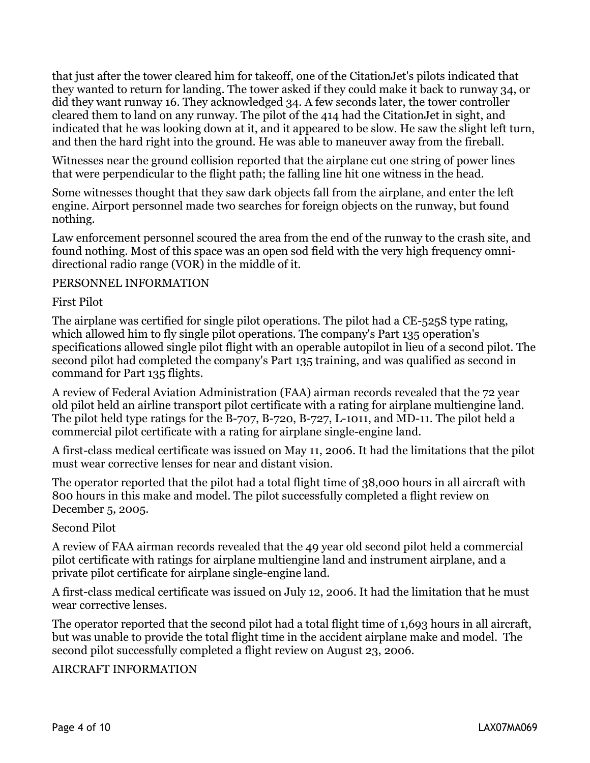that just after the tower cleared him for takeoff, one of the CitationJet's pilots indicated that they wanted to return for landing. The tower asked if they could make it back to runway 34, or did they want runway 16. They acknowledged 34. A few seconds later, the tower controller cleared them to land on any runway. The pilot of the 414 had the CitationJet in sight, and indicated that he was looking down at it, and it appeared to be slow. He saw the slight left turn, and then the hard right into the ground. He was able to maneuver away from the fireball.

Witnesses near the ground collision reported that the airplane cut one string of power lines that were perpendicular to the flight path; the falling line hit one witness in the head.

Some witnesses thought that they saw dark objects fall from the airplane, and enter the left engine. Airport personnel made two searches for foreign objects on the runway, but found nothing.

Law enforcement personnel scoured the area from the end of the runway to the crash site, and found nothing. Most of this space was an open sod field with the very high frequency omnidirectional radio range (VOR) in the middle of it.

#### PERSONNEL INFORMATION

#### First Pilot

The airplane was certified for single pilot operations. The pilot had a CE-525S type rating, which allowed him to fly single pilot operations. The company's Part 135 operation's specifications allowed single pilot flight with an operable autopilot in lieu of a second pilot. The second pilot had completed the company's Part 135 training, and was qualified as second in command for Part 135 flights.

A review of Federal Aviation Administration (FAA) airman records revealed that the 72 year old pilot held an airline transport pilot certificate with a rating for airplane multiengine land. The pilot held type ratings for the B-707, B-720, B-727, L-1011, and MD-11. The pilot held a commercial pilot certificate with a rating for airplane single-engine land.

A first-class medical certificate was issued on May 11, 2006. It had the limitations that the pilot must wear corrective lenses for near and distant vision.

The operator reported that the pilot had a total flight time of 38,000 hours in all aircraft with 800 hours in this make and model. The pilot successfully completed a flight review on December 5, 2005.

#### Second Pilot

A review of FAA airman records revealed that the 49 year old second pilot held a commercial pilot certificate with ratings for airplane multiengine land and instrument airplane, and a private pilot certificate for airplane single-engine land.

A first-class medical certificate was issued on July 12, 2006. It had the limitation that he must wear corrective lenses.

The operator reported that the second pilot had a total flight time of 1,693 hours in all aircraft, but was unable to provide the total flight time in the accident airplane make and model. The second pilot successfully completed a flight review on August 23, 2006.

#### AIRCRAFT INFORMATION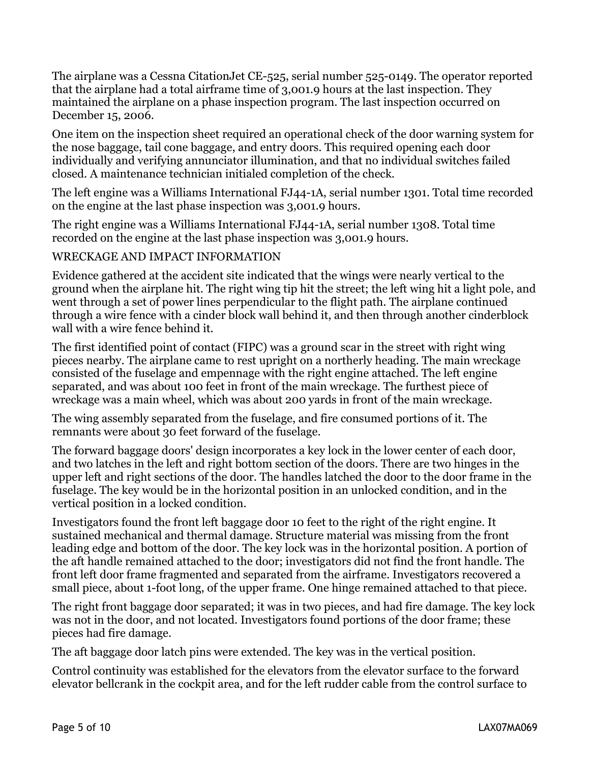The airplane was a Cessna CitationJet CE-525, serial number 525-0149. The operator reported that the airplane had a total airframe time of 3,001.9 hours at the last inspection. They maintained the airplane on a phase inspection program. The last inspection occurred on December 15, 2006.

One item on the inspection sheet required an operational check of the door warning system for the nose baggage, tail cone baggage, and entry doors. This required opening each door individually and verifying annunciator illumination, and that no individual switches failed closed. A maintenance technician initialed completion of the check.

The left engine was a Williams International FJ44-1A, serial number 1301. Total time recorded on the engine at the last phase inspection was 3,001.9 hours.

The right engine was a Williams International FJ44-1A, serial number 1308. Total time recorded on the engine at the last phase inspection was 3,001.9 hours.

#### WRECKAGE AND IMPACT INFORMATION

Evidence gathered at the accident site indicated that the wings were nearly vertical to the ground when the airplane hit. The right wing tip hit the street; the left wing hit a light pole, and went through a set of power lines perpendicular to the flight path. The airplane continued through a wire fence with a cinder block wall behind it, and then through another cinderblock wall with a wire fence behind it.

The first identified point of contact (FIPC) was a ground scar in the street with right wing pieces nearby. The airplane came to rest upright on a northerly heading. The main wreckage consisted of the fuselage and empennage with the right engine attached. The left engine separated, and was about 100 feet in front of the main wreckage. The furthest piece of wreckage was a main wheel, which was about 200 yards in front of the main wreckage.

The wing assembly separated from the fuselage, and fire consumed portions of it. The remnants were about 30 feet forward of the fuselage.

The forward baggage doors' design incorporates a key lock in the lower center of each door, and two latches in the left and right bottom section of the doors. There are two hinges in the upper left and right sections of the door. The handles latched the door to the door frame in the fuselage. The key would be in the horizontal position in an unlocked condition, and in the vertical position in a locked condition.

Investigators found the front left baggage door 10 feet to the right of the right engine. It sustained mechanical and thermal damage. Structure material was missing from the front leading edge and bottom of the door. The key lock was in the horizontal position. A portion of the aft handle remained attached to the door; investigators did not find the front handle. The front left door frame fragmented and separated from the airframe. Investigators recovered a small piece, about 1-foot long, of the upper frame. One hinge remained attached to that piece.

The right front baggage door separated; it was in two pieces, and had fire damage. The key lock was not in the door, and not located. Investigators found portions of the door frame; these pieces had fire damage.

The aft baggage door latch pins were extended. The key was in the vertical position.

Control continuity was established for the elevators from the elevator surface to the forward elevator bellcrank in the cockpit area, and for the left rudder cable from the control surface to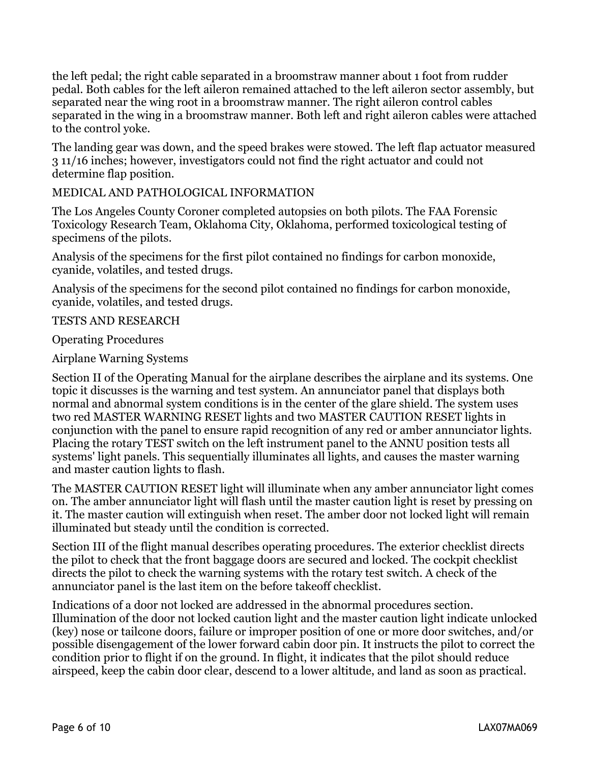the left pedal; the right cable separated in a broomstraw manner about 1 foot from rudder pedal. Both cables for the left aileron remained attached to the left aileron sector assembly, but separated near the wing root in a broomstraw manner. The right aileron control cables separated in the wing in a broomstraw manner. Both left and right aileron cables were attached to the control yoke.

The landing gear was down, and the speed brakes were stowed. The left flap actuator measured 3 11/16 inches; however, investigators could not find the right actuator and could not determine flap position.

#### MEDICAL AND PATHOLOGICAL INFORMATION

The Los Angeles County Coroner completed autopsies on both pilots. The FAA Forensic Toxicology Research Team, Oklahoma City, Oklahoma, performed toxicological testing of specimens of the pilots.

Analysis of the specimens for the first pilot contained no findings for carbon monoxide, cyanide, volatiles, and tested drugs.

Analysis of the specimens for the second pilot contained no findings for carbon monoxide, cyanide, volatiles, and tested drugs.

#### TESTS AND RESEARCH

Operating Procedures

#### Airplane Warning Systems

Section II of the Operating Manual for the airplane describes the airplane and its systems. One topic it discusses is the warning and test system. An annunciator panel that displays both normal and abnormal system conditions is in the center of the glare shield. The system uses two red MASTER WARNING RESET lights and two MASTER CAUTION RESET lights in conjunction with the panel to ensure rapid recognition of any red or amber annunciator lights. Placing the rotary TEST switch on the left instrument panel to the ANNU position tests all systems' light panels. This sequentially illuminates all lights, and causes the master warning and master caution lights to flash.

The MASTER CAUTION RESET light will illuminate when any amber annunciator light comes on. The amber annunciator light will flash until the master caution light is reset by pressing on it. The master caution will extinguish when reset. The amber door not locked light will remain illuminated but steady until the condition is corrected.

Section III of the flight manual describes operating procedures. The exterior checklist directs the pilot to check that the front baggage doors are secured and locked. The cockpit checklist directs the pilot to check the warning systems with the rotary test switch. A check of the annunciator panel is the last item on the before takeoff checklist.

Indications of a door not locked are addressed in the abnormal procedures section. Illumination of the door not locked caution light and the master caution light indicate unlocked (key) nose or tailcone doors, failure or improper position of one or more door switches, and/or possible disengagement of the lower forward cabin door pin. It instructs the pilot to correct the condition prior to flight if on the ground. In flight, it indicates that the pilot should reduce airspeed, keep the cabin door clear, descend to a lower altitude, and land as soon as practical.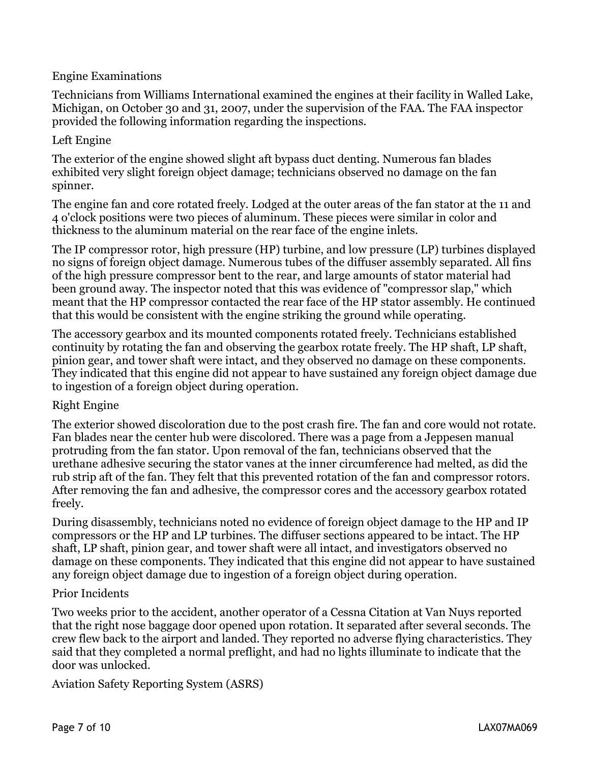#### Engine Examinations

Technicians from Williams International examined the engines at their facility in Walled Lake, Michigan, on October 30 and 31, 2007, under the supervision of the FAA. The FAA inspector provided the following information regarding the inspections.

#### Left Engine

The exterior of the engine showed slight aft bypass duct denting. Numerous fan blades exhibited very slight foreign object damage; technicians observed no damage on the fan spinner.

The engine fan and core rotated freely. Lodged at the outer areas of the fan stator at the 11 and 4 o'clock positions were two pieces of aluminum. These pieces were similar in color and thickness to the aluminum material on the rear face of the engine inlets.

The IP compressor rotor, high pressure (HP) turbine, and low pressure (LP) turbines displayed no signs of foreign object damage. Numerous tubes of the diffuser assembly separated. All fins of the high pressure compressor bent to the rear, and large amounts of stator material had been ground away. The inspector noted that this was evidence of "compressor slap," which meant that the HP compressor contacted the rear face of the HP stator assembly. He continued that this would be consistent with the engine striking the ground while operating.

The accessory gearbox and its mounted components rotated freely. Technicians established continuity by rotating the fan and observing the gearbox rotate freely. The HP shaft, LP shaft, pinion gear, and tower shaft were intact, and they observed no damage on these components. They indicated that this engine did not appear to have sustained any foreign object damage due to ingestion of a foreign object during operation.

#### Right Engine

The exterior showed discoloration due to the post crash fire. The fan and core would not rotate. Fan blades near the center hub were discolored. There was a page from a Jeppesen manual protruding from the fan stator. Upon removal of the fan, technicians observed that the urethane adhesive securing the stator vanes at the inner circumference had melted, as did the rub strip aft of the fan. They felt that this prevented rotation of the fan and compressor rotors. After removing the fan and adhesive, the compressor cores and the accessory gearbox rotated freely.

During disassembly, technicians noted no evidence of foreign object damage to the HP and IP compressors or the HP and LP turbines. The diffuser sections appeared to be intact. The HP shaft, LP shaft, pinion gear, and tower shaft were all intact, and investigators observed no damage on these components. They indicated that this engine did not appear to have sustained any foreign object damage due to ingestion of a foreign object during operation.

#### Prior Incidents

Two weeks prior to the accident, another operator of a Cessna Citation at Van Nuys reported that the right nose baggage door opened upon rotation. It separated after several seconds. The crew flew back to the airport and landed. They reported no adverse flying characteristics. They said that they completed a normal preflight, and had no lights illuminate to indicate that the door was unlocked.

Aviation Safety Reporting System (ASRS)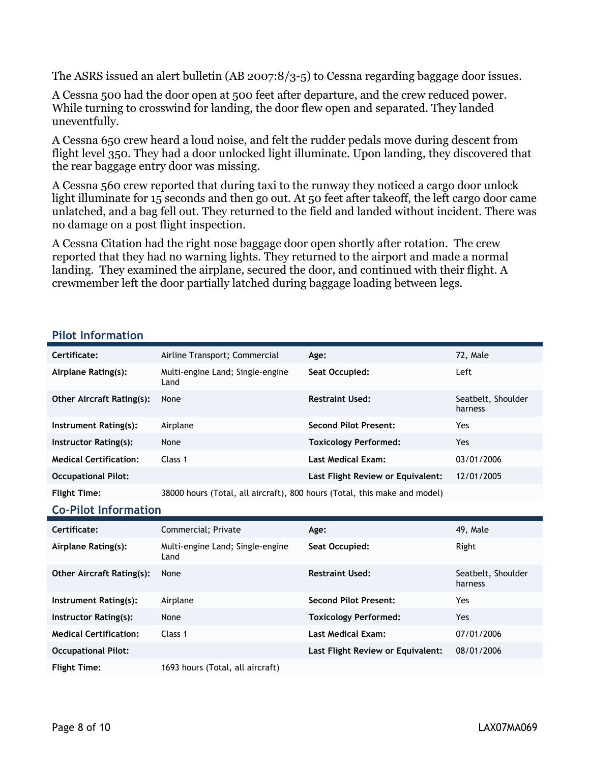The ASRS issued an alert bulletin (AB 2007:8/3-5) to Cessna regarding baggage door issues.

A Cessna 500 had the door open at 500 feet after departure, and the crew reduced power. While turning to crosswind for landing, the door flew open and separated. They landed uneventfully.

A Cessna 650 crew heard a loud noise, and felt the rudder pedals move during descent from flight level 350. They had a door unlocked light illuminate. Upon landing, they discovered that the rear baggage entry door was missing.

A Cessna 560 crew reported that during taxi to the runway they noticed a cargo door unlock light illuminate for 15 seconds and then go out. At 50 feet after takeoff, the left cargo door came unlatched, and a bag fell out. They returned to the field and landed without incident. There was no damage on a post flight inspection.

A Cessna Citation had the right nose baggage door open shortly after rotation. The crew reported that they had no warning lights. They returned to the airport and made a normal landing. They examined the airplane, secured the door, and continued with their flight. A crewmember left the door partially latched during baggage loading between legs.

#### **Pilot Information**

| Certificate:                     | Airline Transport; Commercial                                             | Age:                              | 72, Male                      |
|----------------------------------|---------------------------------------------------------------------------|-----------------------------------|-------------------------------|
| Airplane Rating(s):              | Multi-engine Land; Single-engine<br>Land                                  | Seat Occupied:                    | Left                          |
| <b>Other Aircraft Rating(s):</b> | None                                                                      | <b>Restraint Used:</b>            | Seatbelt, Shoulder<br>harness |
| Instrument Rating(s):            | Airplane                                                                  | <b>Second Pilot Present:</b>      | Yes                           |
| Instructor Rating(s):            | None                                                                      | <b>Toxicology Performed:</b>      | <b>Yes</b>                    |
| <b>Medical Certification:</b>    | Class 1                                                                   | <b>Last Medical Exam:</b>         | 03/01/2006                    |
| <b>Occupational Pilot:</b>       |                                                                           | Last Flight Review or Equivalent: | 12/01/2005                    |
| <b>Flight Time:</b>              | 38000 hours (Total, all aircraft), 800 hours (Total, this make and model) |                                   |                               |

#### **Co-Pilot Information**

| Certificate:                     | Commercial; Private                                            | Age:                              | 49, Male                      |
|----------------------------------|----------------------------------------------------------------|-----------------------------------|-------------------------------|
| Airplane Rating(s):              | Multi-engine Land; Single-engine<br>Land                       | Seat Occupied:                    | Right                         |
| <b>Other Aircraft Rating(s):</b> | None                                                           | <b>Restraint Used:</b>            | Seatbelt, Shoulder<br>harness |
| Instrument Rating(s):            | Airplane                                                       | <b>Second Pilot Present:</b>      | Yes                           |
| Instructor Rating(s):            | None                                                           | <b>Toxicology Performed:</b>      | Yes                           |
| <b>Medical Certification:</b>    | Class 1                                                        | <b>Last Medical Exam:</b>         | 07/01/2006                    |
| <b>Occupational Pilot:</b>       |                                                                | Last Flight Review or Equivalent: | 08/01/2006                    |
| アドレート エンティー・エー                   | $4702 \text{ kg}$ $(\text{m/s})$ $(\text{m/s})$ $(\text{m/s})$ |                                   |                               |

**Flight Time:** 1693 hours (Total, all aircraft)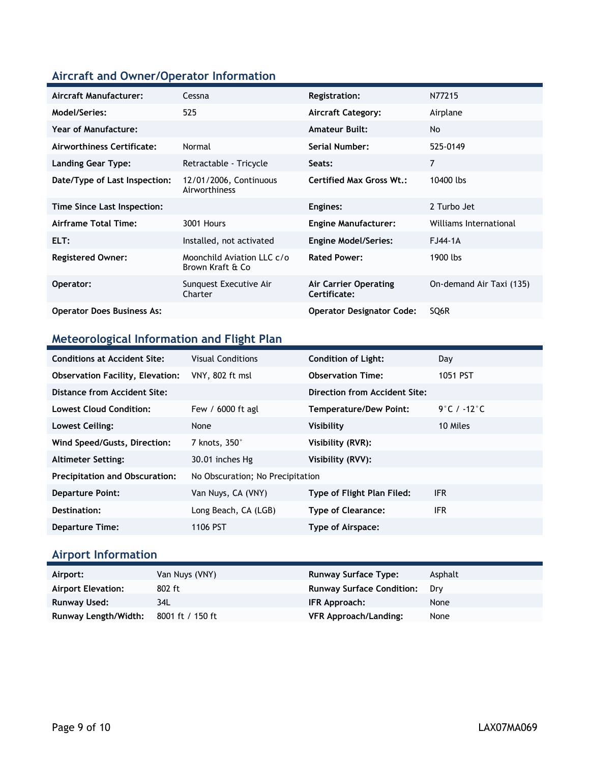### **Aircraft and Owner/Operator Information**

| Aircraft Manufacturer:            | Cessna                                         | <b>Registration:</b>                         | N77215                   |
|-----------------------------------|------------------------------------------------|----------------------------------------------|--------------------------|
| Model/Series:                     | 525                                            | <b>Aircraft Category:</b>                    | Airplane                 |
| <b>Year of Manufacture:</b>       |                                                | <b>Amateur Built:</b>                        | No                       |
| Airworthiness Certificate:        | Normal                                         | Serial Number:                               | 525-0149                 |
| <b>Landing Gear Type:</b>         | Retractable - Tricycle                         | Seats:                                       | $\overline{7}$           |
| Date/Type of Last Inspection:     | 12/01/2006, Continuous<br>Airworthiness        | <b>Certified Max Gross Wt.:</b>              | 10400 lbs                |
| Time Since Last Inspection:       |                                                | Engines:                                     | 2 Turbo Jet              |
| Airframe Total Time:              | 3001 Hours                                     | <b>Engine Manufacturer:</b>                  | Williams International   |
| ELT:                              | Installed, not activated                       | <b>Engine Model/Series:</b>                  | FJ44-1A                  |
| <b>Registered Owner:</b>          | Moonchild Aviation LLC c/o<br>Brown Kraft & Co | <b>Rated Power:</b>                          | 1900 lbs                 |
| Operator:                         | Sunquest Executive Air<br>Charter              | <b>Air Carrier Operating</b><br>Certificate: | On-demand Air Taxi (135) |
| <b>Operator Does Business As:</b> |                                                | <b>Operator Designator Code:</b>             | SQ6R                     |

### **Meteorological Information and Flight Plan**

| <b>Conditions at Accident Site:</b>     | <b>Visual Conditions</b>         | <b>Condition of Light:</b>    | Day         |
|-----------------------------------------|----------------------------------|-------------------------------|-------------|
| <b>Observation Facility, Elevation:</b> | VNY, 802 ft msl                  | <b>Observation Time:</b>      | 1051 PST    |
| Distance from Accident Site:            |                                  | Direction from Accident Site: |             |
| <b>Lowest Cloud Condition:</b>          | Few / 6000 ft agl                | Temperature/Dew Point:        | 9°C / -12°C |
| Lowest Ceiling:                         | None                             | Visibility                    | 10 Miles    |
| Wind Speed/Gusts, Direction:            | 7 knots, $350^\circ$             | Visibility (RVR):             |             |
| <b>Altimeter Setting:</b>               | 30.01 inches Hg                  | Visibility (RVV):             |             |
| <b>Precipitation and Obscuration:</b>   | No Obscuration; No Precipitation |                               |             |
| <b>Departure Point:</b>                 | Van Nuys, CA (VNY)               | Type of Flight Plan Filed:    | <b>IFR</b>  |
| Destination:                            | Long Beach, CA (LGB)             | <b>Type of Clearance:</b>     | ifr         |
| <b>Departure Time:</b>                  | 1106 PST                         | Type of Airspace:             |             |

### **Airport Information**

| Airport:             | Van Nuys (VNY)   | <b>Runway Surface Type:</b>      | Asphalt |
|----------------------|------------------|----------------------------------|---------|
| Airport Elevation:   | 802 ft           | <b>Runway Surface Condition:</b> | Drv     |
| Runway Used:         | 34L              | IFR Approach:                    | None    |
| Runway Length/Width: | 8001 ft / 150 ft | VFR Approach/Landing:            | None    |